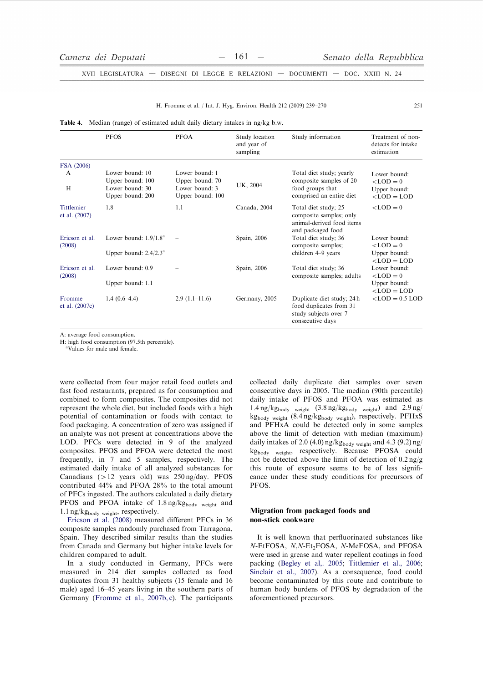XVII LEGISLATURA - DISEGNI DI LEGGE E RELAZIONI - DOCUMENTI - DOC. XXIII N. 24

|  | H. Fromme et al. / Int. J. Hyg. Environ. Health 212 (2009) 239–270 |  |  |  |  |  |  |
|--|--------------------------------------------------------------------|--|--|--|--|--|--|
|--|--------------------------------------------------------------------|--|--|--|--|--|--|

| <b>Table 4.</b> Median (range) of estimated adult daily dietary intakes in ng/kg b.w. |  |  |  |  |  |  |  |  |  |  |  |  |
|---------------------------------------------------------------------------------------|--|--|--|--|--|--|--|--|--|--|--|--|
|---------------------------------------------------------------------------------------|--|--|--|--|--|--|--|--|--|--|--|--|

|                                    | <b>PFOS</b>                         | <b>PFOA</b>                        | Study location<br>and year of<br>sampling | Study information                                                                                  | Treatment of non-<br>detects for intake<br>estimation |
|------------------------------------|-------------------------------------|------------------------------------|-------------------------------------------|----------------------------------------------------------------------------------------------------|-------------------------------------------------------|
| FSA (2006)                         |                                     |                                    |                                           |                                                                                                    |                                                       |
| A                                  | Lower bound: 10<br>Upper bound: 100 | Lower bound: 1<br>Upper bound: 70  |                                           | Total diet study; yearly<br>composite samples of 20                                                | Lower bound:<br>$<$ LOD = 0                           |
| H                                  | Lower bound: 30<br>Upper bound: 200 | Lower bound: 3<br>Upper bound: 100 | UK, 2004                                  | food groups that<br>comprised an entire diet                                                       | Upper bound:<br>$<$ LOD = LOD                         |
| <b>Tittlemier</b><br>et al. (2007) | 1.8                                 | 1.1                                | Canada, 2004                              | Total diet study; 25<br>composite samples; only<br>animal-derived food items<br>and packaged food  | $\langle$ LOD = 0                                     |
| Ericson et al.<br>(2008)           | Lower bound: $1.9/1.8^a$            |                                    | Spain, 2006                               | Total diet study; 36<br>composite samples;                                                         | Lower bound:<br>$\angle$ LOD = 0                      |
|                                    | Upper bound: $2.4/2.3^{\text{a}}$   |                                    |                                           | children 4–9 years                                                                                 | Upper bound:<br>$<$ LOD = LOD                         |
| Ericson et al.<br>(2008)           | Lower bound: 0.9                    |                                    | Spain, 2006                               | Total diet study; 36<br>composite samples; adults                                                  | Lower bound:<br>$\langle$ LOD = 0                     |
|                                    | Upper bound: 1.1                    |                                    |                                           |                                                                                                    | Upper bound:<br>$<$ LOD = LOD                         |
| Fromme<br>et al. (2007c)           | $1.4(0.6-4.4)$                      | $2.9(1.1-11.6)$                    | Germany, 2005                             | Duplicate diet study; 24 h<br>food duplicates from 31<br>study subjects over 7<br>consecutive days | $<$ LOD = 0.5 LOD                                     |

A: average food consumption.

H: high food consumption (97.5th percentile).

<sup>a</sup>Values for male and female.

were collected from four major retail food outlets and fast food restaurants, prepared as for consumption and combined to form composites. The composites did not represent the whole diet, but included foods with a high potential of contamination or foods with contact to food packaging. A concentration of zero was assigned if an analyte was not present at concentrations above the LOD. PFCs were detected in 9 of the analyzed composites. PFOS and PFOA were detected the most frequently, in 7 and 5 samples, respectively. The estimated daily intake of all analyzed substances for Canadians ( $>12$  years old) was  $250 \text{ ng/day}$ . PFOS contributed 44% and PFOA 28% to the total amount of PFCs ingested. The authors calculated a daily dietary PFOS and PFOA intake of 1.8 ng/kgbody weight and 1.1 ng/kgbody weight, respectively.

Ericson et al. (2008) measured different PFCs in 36 composite samples randomly purchased from Tarragona, Spain. They described similar results than the studies from Canada and Germany but higher intake levels for children compared to adult.

In a study conducted in Germany, PFCs were measured in 214 diet samples collected as food duplicates from 31 healthy subjects (15 female and 16 male) aged 16–45 years living in the southern parts of Germany (Fromme et al., 2007b, c). The participants collected daily duplicate diet samples over seven consecutive days in 2005. The median (90th percentile) daily intake of PFOS and PFOA was estimated as  $1.4 \text{ ng/kg}$ <sub>body weight</sub>  $(3.8 \text{ ng/kg}$ <sub>body weight</sub>) and  $2.9 \text{ ng}/$ kgbody weight (8.4 ng/kgbody weight), respectively. PFHxS and PFHxA could be detected only in some samples above the limit of detection with median (maximum) daily intakes of 2.0 (4.0)  $ng/kg_{body}$  weight and 4.3 (9.2)  $ng/$ kg<sub>body weight</sub>, respectively. Because PFOSA could not be detected above the limit of detection of  $0.2 \text{ ng/g}$ this route of exposure seems to be of less significance under these study conditions for precursors of PFOS.

# Migration from packaged foods and non-stick cookware

It is well known that perfluorinated substances like N-EtFOSA, N,N-Et2FOSA, N-MeFOSA, and PFOSA were used in grease and water repellent coatings in food packing (Begley et al., 2005; Tittlemier et al., 2006; Sinclair et al., 2007). As a consequence, food could become contaminated by this route and contribute to human body burdens of PFOS by degradation of the aforementioned precursors.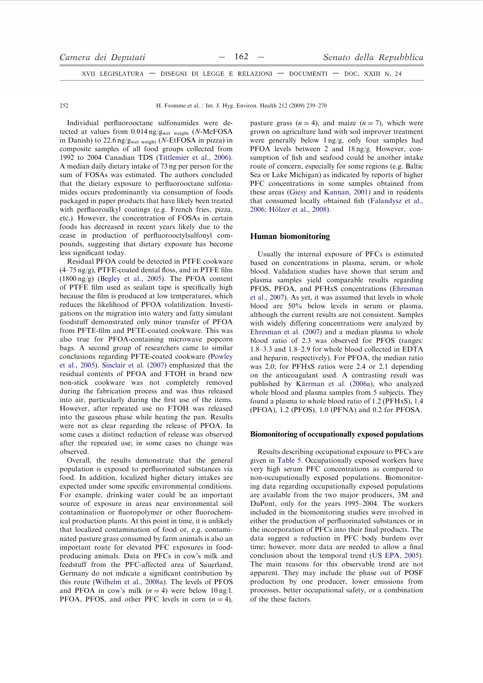| Camera dei Deputati                                                            |  | $-162 -$ | Senato della Repubblica |  |
|--------------------------------------------------------------------------------|--|----------|-------------------------|--|
| XVII LEGISLATURA — DISEGNI DI LEGGE E RELAZIONI — DOCUMENTI — DOC. XXIII N. 24 |  |          |                         |  |

H. Fromme et al. / Int. J. Hyg. Environ. Health 212 (2009) 239-270

Individual perfluorooctane sulfonamides were detected at values from  $0.014$  ng/g<sub>wet weight</sub> (N-MeFOSA in Danish) to 22.6 ng/g<sub>wet weight</sub> (N-EtFOSA in pizza) in composite samples of all food groups collected from 1992 to 2004 Canadian TDS (Tittlemier et al., 2006). A median daily dietary intake of 73 ng per person for the sum of FOSAs was estimated. The authors concluded that the dietary exposure to perfluorooctane sulfonamides occurs predominantly via consumption of foods packaged in paper products that have likely been treated with perfluoroalkyl coatings (e.g. French fries, pizza, etc.). However, the concentration of FOSAs in certain foods has decreased in recent years likely due to the cease in production of perfluorooctylsulfonyl compounds, suggesting that dietary exposure has become less significant today.

Residual PFOA could be detected in PTFE cookware  $(4-75 \text{ ng/g})$ , PTFE-coated dental floss, and in PTFE film  $(1800 \text{ ng/g})$  (Begley et al., 2005). The PFOA content of PTFE film used as sealant tape is specifically high because the film is produced at low temperatures, which reduces the likelihood of PFOA volatilization. Investigations on the migration into watery and fatty simulant foodstuff demonstrated only minor transfer of PFOA from PFTE-film and PFTE-coated cookware. This was also true for PFOA-containing microwave popcorn bags. A second group of researchers came to similar conclusions regarding PFTE-coated cookware (Powley et al., 2005). Sinclair et al. (2007) emphasized that the residual contents of PFOA and FTOH in brand new non-stick cookware was not completely removed during the fabrication process and was thus released into air, particularly during the first use of the items. However, after repeated use no FTOH was released into the gaseous phase while heating the pan. Results were not as clear regarding the release of PFOA. In some cases a distinct reduction of release was observed after the repeated use; in some cases no change was observed

Overall, the results demonstrate that the general population is exposed to perfluorinated substances via food. In addition, localized higher dietary intakes are expected under some specific environmental conditions. For example, drinking water could be an important source of exposure in areas near environmental soil contamination or fluoropolymer or other fluorochemical production plants. At this point in time, it is unlikely that localized contamination of food or, e.g. contaminated pasture grass consumed by farm animals is also an important route for elevated PFC exposures in foodproducing animals. Data on PFCs in cow's milk and feedstuff from the PFC-affected area of Sauerland, Germany do not indicate a significant contribution by this route (Wilhelm et al., 2008a). The levels of PFOS and PFOA in cow's milk  $(n = 4)$  were below 10 ng/l. PFOA, PFOS, and other PFC levels in corn  $(n = 4)$ , pasture grass  $(n = 4)$ , and maize  $(n = 7)$ , which were grown on agriculture land with soil improver treatment were generally below 1 ng/g, only four samples had PFOA levels between 2 and 18 ng/g. However, consumption of fish and seafood could be another intake route of concern, especially for some regions (e.g. Baltic Sea or Lake Michigan) as indicated by reports of higher PFC concentrations in some samples obtained from these areas (Giesy and Kannan, 2001) and in residents that consumed locally obtained fish (Falandysz et al., 2006; Hölzer et al., 2008).

# **Human biomonitoring**

Usually the internal exposure of PFCs is estimated based on concentrations in plasma, serum, or whole blood. Validation studies have shown that serum and plasma samples yield comparable results regarding PFOS, PFOA, and PFHxS concentrations (Ehresman et al., 2007). As yet, it was assumed that levels in whole blood are 50% below levels in serum or plasma, although the current results are not consistent. Samples with widely differing concentrations were analyzed by Ehresman et al. (2007) and a median plasma to whole blood ratio of 2.3 was observed for PFOS (ranges: 1.8-3.3 and 1.8-2.9 for whole blood collected in EDTA and heparin, respectively). For PFOA, the median ratio was 2.0; for PFHxS ratios were 2.4 or 2.1 depending on the anticoagulant used. A contrasting result was published by Kärrman et al. (2006a), who analyzed whole blood and plasma samples from 5 subjects. They found a plasma to whole blood ratio of 1.2 (PFHxS), 1.4 (PFOA), 1.2 (PFOS), 1.0 (PFNA) and 0.2 for PFOSA.

#### Biomonitoring of occupationally exposed populations

Results describing occupational exposure to PFCs are given in Table 5. Occupationally exposed workers have very high serum PFC concentrations as compared to non-occupationally exposed populations. Biomonitoring data regarding occupationally exposed populations are available from the two major producers, 3M and DuPont, only for the years 1995–2004. The workers included in the biomonitoring studies were involved in either the production of perfluorinated substances or in the incorporation of PFCs into their final products. The data suggest a reduction in PFC body burdens over time; however, more data are needed to allow a final conclusion about the temporal trend (US EPA, 2005). The main reasons for this observable trend are not apparent. They may include the phase out of POSF production by one producer, lower emissions from processes, better occupational safety, or a combination of the these factors.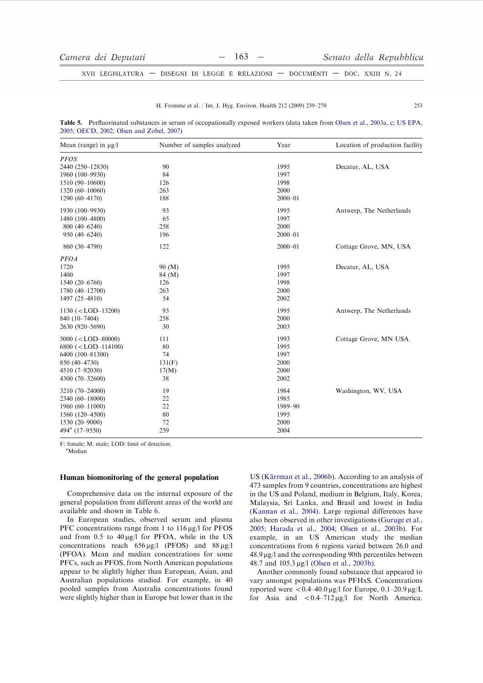$253$ 

XVII LEGISLATURA - DISEGNI DI LEGGE E RELAZIONI - DOCUMENTI - DOC. XXIII N. 24

#### H. Fromme et al. / Int. J. Hyg. Environ. Health 212 (2009) 239-270

Table 5. Perfluorinated substances in serum of occupationally exposed workers (data taken from Olsen et al., 2003a, c; US EPA, 2005; OECD, 2002; Olsen and Zobel, 2007)

| Mean (range) in $\mu$ g/l  | Number of samples analyzed | Year        | Location of production facility |  |  |  |
|----------------------------|----------------------------|-------------|---------------------------------|--|--|--|
| <b>PFOS</b>                |                            |             |                                 |  |  |  |
| 2440 (250-12830)           | 90                         | 1995        | Decatur, AL, USA                |  |  |  |
| 1960 (100-9930)            | 84                         | 1997        |                                 |  |  |  |
| 1510 (90-10600)            | 126                        | 1998        |                                 |  |  |  |
| 1320 (60-10060)            | 263                        | 2000        |                                 |  |  |  |
| 1290 (60-4170)             | 188                        | $2000 - 01$ |                                 |  |  |  |
| 1930 (100-9930)            | 93                         | 1995        | Antwerp, The Netherlands        |  |  |  |
| 1480 (100-4800)            | 65                         | 1997        |                                 |  |  |  |
| $800(40-6240)$             | 258                        | 2000        |                                 |  |  |  |
| 950 (40-6240)              | 196                        | $2000 - 01$ |                                 |  |  |  |
| 860 (30-4790)              | 122                        | $2000 - 01$ | Cottage Grove, MN, USA          |  |  |  |
| <b>PFOA</b>                |                            |             |                                 |  |  |  |
| 1720                       | 90 (M)                     | 1995        | Decatur, AL, USA                |  |  |  |
| 1400                       | 84 (M)                     | 1997        |                                 |  |  |  |
| $1540(20-6760)$            | 126                        | 1998        |                                 |  |  |  |
| 1780 (40-12700)            | 263                        | 2000        |                                 |  |  |  |
| 1497 (25-4810)             | 54                         | 2002        |                                 |  |  |  |
| $1130 (< LOD-13200)$       | 93                         | 1995        | Antwerp, The Netherlands        |  |  |  |
| 840 (10-7404)              | 258                        | 2000        |                                 |  |  |  |
| 2630 (920-5690)            | 30                         | 2003        |                                 |  |  |  |
| $5000 (< LOD-80000)$       | 111                        | 1993        | Cottage Grove, MN USA           |  |  |  |
| $6800 (< LOD-114100)$      | 80                         | 1995        |                                 |  |  |  |
| 6400 (100-81300)           | 74                         | 1997        |                                 |  |  |  |
| 850 (40-4730)              | 131(F)                     | 2000        |                                 |  |  |  |
| 4510 (7-92030)             | 17(M)                      | 2000        |                                 |  |  |  |
| 4300 (70-32600)            | 38                         | 2002        |                                 |  |  |  |
| 3210 (70-24000)            | 19                         | 1984        | Washington, WV, USA             |  |  |  |
| 2340 (60-18000)            | 22                         | 1985        |                                 |  |  |  |
| $1960(60-11000)$           | 22                         | 1989-90     |                                 |  |  |  |
| 1560 (120-4500)            | 80                         | 1995        |                                 |  |  |  |
| 1530 (20-9000)             | 72                         | 2000        |                                 |  |  |  |
| 494 <sup>a</sup> (17-9550) | 259                        | 2004        |                                 |  |  |  |

F: female; M: male; LOD: limit of detection.

<sup>a</sup>Median

### Human biomonitoring of the general population

Comprehensive data on the internal exposure of the general population from different areas of the world are available and shown in Table 6.

In European studies, observed serum and plasma PFC concentrations range from 1 to 116 µg/l for PFOS and from 0.5 to  $40 \mu g/l$  for PFOA, while in the US concentrations reach  $656 \mu g/l$  (PFOS) and  $88 \mu g/l$ (PFOA). Mean and median concentrations for some PFCs, such as PFOS, from North American populations appear to be slightly higher than European, Asian, and Australian populations studied. For example, in 40 pooled samples from Australia concentrations found were slightly higher than in Europe but lower than in the US (Kärrman et al., 2006b). According to an analysis of 473 samples from 9 countries, concentrations are highest in the US and Poland, medium in Belgium, Italy, Korea. Malaysia, Sri Lanka, and Brasil and lowest in India (Kannan et al., 2004). Large regional differences have also been observed in other investigations (Guruge et al., 2005; Harada et al., 2004; Olsen et al., 2003b). For example, in an US American study the median concentrations from 6 regions varied between 26.0 and  $48.9 \,\mu g/l$  and the corresponding 90th percentiles between 48.7 and 105.3 μg/l (Olsen et al., 2003b).

Another commonly found substance that appeared to vary amongst populations was PFHxS. Concentrations reported were  $\langle 0.4-40.0 \,\mu g/l \rangle$  for Europe,  $0.1-20.9 \,\mu g/L$ for Asia and  $< 0.4-712 \mu g/l$  for North America.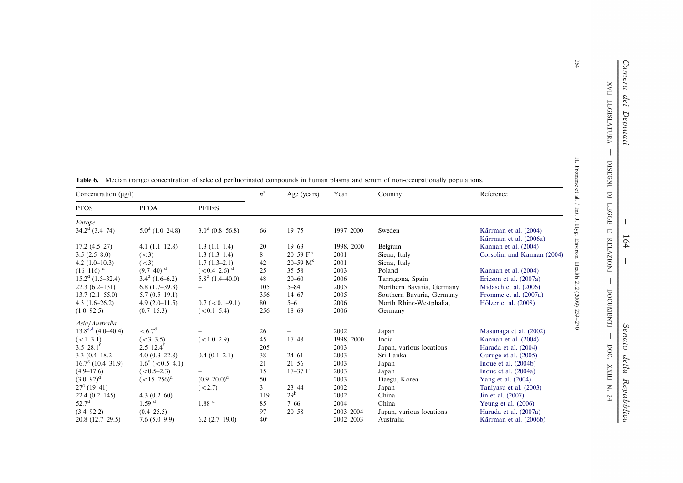DISEGNI DI LEGGE

 $\overline{\mathbb{H}}$ 

**RELAZIONI** 

 $\overline{\phantom{a}}$ 

DOCUMENTI

 $\overline{\phantom{a}}$ 

DOC. XXIII N. 24

 $\mathbf{H}$ 

| Concentration $(\mu g/l)$ |                           |                           | $n^{\rm a}$    | Age (years)              | Year          | Country                   | Reference                                       |
|---------------------------|---------------------------|---------------------------|----------------|--------------------------|---------------|---------------------------|-------------------------------------------------|
| <b>PFOS</b>               | <b>PFOA</b>               | PFHxS                     |                |                          |               |                           |                                                 |
| Europe                    |                           |                           |                |                          |               |                           |                                                 |
| $34.2^d$ (3.4–74)         | $5.0^d$ (1.0–24.8)        | $3.0^d$ (0.8–56.8)        | 66             | $19 - 75$                | 1997-2000     | Sweden                    | Kärrman et al. (2004)<br>Kärrman et al. (2006a) |
| $17.2(4.5-27)$            | 4.1 $(1.1-12.8)$          | $1.3(1.1-1.4)$            | 20             | $19 - 63$                | 1998, 2000    | Belgium                   | Kannan et al. (2004)                            |
| $3.5(2.5-8.0)$            | (< 3)                     | $1.3(1.3-1.4)$            | 8              | $20 - 59$ F <sup>b</sup> | 2001          | Siena, Italy              | Corsolini and Kannan (2004)                     |
| $4.2(1.0-10.3)$           | (< 3)                     | $1.7(1.3-2.1)$            | 42             | 20-59 $M^c$              | 2001          | Siena, Italy              |                                                 |
| $(16-116)$ <sup>d</sup>   | $(9.7-40)^{d}$            | $(<0.4-2.6)$ <sup>d</sup> | 25             | $35 - 58$                | 2003          | Poland                    | Kannan et al. (2004)                            |
| $15.2d$ (1.5–32.4)        | $3.4^d$ (1.6–6.2)         | $5.8^d$ (1.4–40.0)        | 48             | $20 - 60$                | 2006          | Tarragona, Spain          | Ericson et al. (2007a)                          |
| $22.3(6.2-131)$           | $6.8(1.7-39.3)$           |                           | 105            | $5 - 84$                 | 2005          | Northern Bavaria, Germany | Midasch et al. (2006)                           |
| $13.7(2.1-55.0)$          | $5.7(0.5-19.1)$           |                           | 356            | $14 - 67$                | 2005          | Southern Bavaria, Germany | Fromme et al. (2007a)                           |
| 4.3 $(1.6-26.2)$          | $4.9(2.0-11.5)$           | $0.7$ ( $< 0.1 - 9.1$ )   | 80             | $5 - 6$                  | 2006          | North Rhine-Westphalia,   | Hölzer et al. (2008)                            |
| $(1.0 - 92.5)$            | $(0.7-15.3)$              | $(< 0.1 - 5.4)$           | 256            | $18 - 69$                | 2006          | Germany                   |                                                 |
| Asia/Australia            |                           |                           |                |                          |               |                           |                                                 |
| $13.8^{e,d}$ (4.0–40.4)   | < 6.7 <sup>d</sup>        |                           | 26             |                          | 2002          | Japan                     | Masunaga et al. (2002)                          |
| $(<1-3.1)$                | $(<3-3.5)$                | $(<1.0-2.9)$              | 45             | $17 - 48$                | 1998, 2000    | India                     | Kannan et al. (2004)                            |
| $3.5 - 28.1$ <sup>t</sup> | $2.5 - 12.4$ <sup>f</sup> |                           | 205            |                          | 2003          | Japan, various locations  | Harada et al. (2004)                            |
| $3.3(0.4 - 18.2)$         | $4.0(0.3-22.8)$           | $0.4(0.1-2.1)$            | 38             | $24 - 61$                | 2003          | Sri Lanka                 | Guruge et al. (2005)                            |
| $16.7g$ (10.4-31.9)       | $1.6^g$ ( < 0.5–4.1)      |                           | 21             | $21 - 56$                | 2003          | Japan                     | Inoue et al. $(2004b)$                          |
| $(4.9 - 17.6)$            | $(< 0.5 - 2.3)$           |                           | 15             | $17 - 37$ F              | 2003          | Japan                     | Inoue et al. $(2004a)$                          |
| $(3.0 - 92)^d$            | $(<15-256)$ <sup>d</sup>  | $(0.9-20.0)^d$            | 50             |                          | 2003          | Daegu, Korea              | Yang et al. (2004)                              |
| $27^{\circ}$ (19-41)      |                           | (<2.7)                    | $\mathfrak{Z}$ | $23 - 44$                | 2002          | Japan                     | Taniyasu et al. (2003)                          |
| $22.4(0.2 - 145)$         | 4.3 $(0.2-60)$            |                           | 119            | 29 <sup>h</sup>          | 2002          | China                     | Jin et al. (2007)                               |
| $52.7^{\rm d}$            | 1.59 <sup>d</sup>         | $1.88$ <sup>d</sup>       | 85             | $7 - 66$                 | 2004          | China                     | Yeung et al. $(2006)$                           |
| $(3.4 - 92.2)$            | $(0.4 - 25.5)$            |                           | 97             | $20 - 58$                | 2003-2004     | Japan, various locations  | Harada et al. (2007a)                           |
| $20.8(12.7-29.5)$         | $7.6(5.0-9.9)$            | $6.2(2.7-19.0)$           | $40^{\rm i}$   |                          | $2002 - 2003$ | Australia                 | Kärrman et al. (2006b)                          |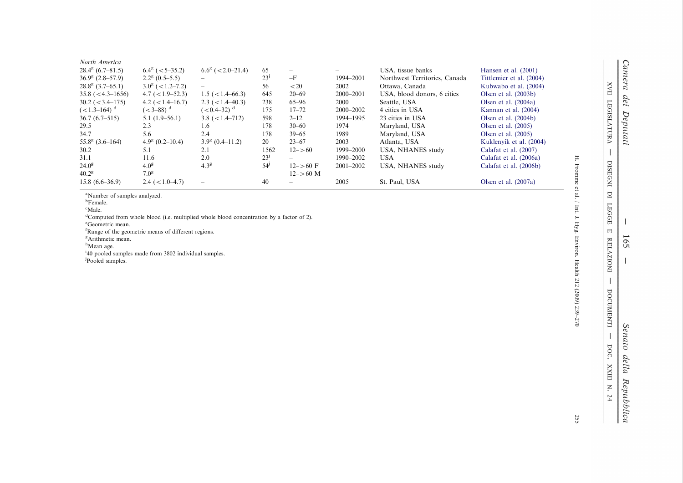| North America<br>$28.4^g$ (6.7–81.5)<br>$36.9^g$ (2.8–57.9)<br>$28.8^g$ (3.7–65.1)<br>$35.8 \left( \times 4.3 - 1656 \right)$<br>$30.2 \approx 3.4 - 175$<br>$(<1.3-164)$ <sup>d</sup><br>$36.7(6.7-515)$<br>29.5<br>34.7<br>$55.8^g$ (3.6–164)<br>30.2<br>31.1<br>$24.0^8$<br>$40.2^8$ | $6.4^{\circ}$ ( $< 5-35.2$ )<br>$2.2^8$ (0.5–5.5)<br>$3.0^8$ (<1.2–7.2)<br>$4.7 (<1.9 - 52.3)$<br>$4.2$ ( $< 1.4 - 16.7$ )<br>$(<3-88)$ <sup>d</sup><br>$5.1(1.9-56.1)$<br>2.3<br>5.6<br>$4.9g$ (0.2–10.4)<br>5.1<br>11.6<br>4.0 <sup>g</sup><br>7.0 <sup>g</sup> | $6.6^{\circ}$ (<2.0-21.4)<br>$\qquad \qquad -$<br>$1.5$ ( $<$ 1.4–66.3)<br>$2.3$ ( $< 1.4 - 40.3$ )<br>$(<0.4-32)$ <sup>d</sup><br>$3.8$ ( $< 1.4 - 712$ )<br>1.6<br>2.4<br>$3.9g$ (0.4-11.2)<br>2.1<br>2.0<br>4.3 <sup>g</sup> | 65<br>23 <sup>j</sup><br>56<br>645<br>238<br>175<br>598<br>178<br>178<br>20<br>1562<br>23 <sup>j</sup><br>54 <sup>j</sup> | $-F$<br>$<$ 20<br>$20 - 69$<br>$65 - 96$<br>$17 - 72$<br>$2 - 12$<br>$30 - 60$<br>$39 - 65$<br>$23 - 67$<br>$12 - > 60$<br>$12 - > 60$ F<br>$12 - > 60$ M | 1994-2001<br>2002<br>$2000 - 2001$<br><b>2000</b><br>$2000 - 2002$<br>1994-1995<br>1974<br>1989<br>2003<br>1999-2000<br>1990–2002<br>$2001 - 2002$ | USA, tissue banks<br>Northwest Territories, Canada<br>Ottawa, Canada<br>USA, blood donors, 6 cities<br>Seattle, USA<br>4 cities in USA<br>23 cities in USA<br>Maryland, USA<br>Maryland, USA<br>Atlanta, USA<br>USA, NHANES study<br><b>USA</b><br><b>USA, NHANES study</b> | Hansen et al. $(2001)$<br>Tittlemier et al. (2004)<br>Kubwabo et al. (2004)<br>Olsen et al. $(2003b)$<br>Olsen et al. $(2004a)$<br>Kannan et al. (2004)<br>Olsen et al. $(2004b)$<br>Olsen et al. $(2005)$<br>Olsen et al. $(2005)$<br>Kuklenyik et al. (2004)<br>Calafat et al. (2007)<br>Calafat et al. (2006a)<br>Calafat et al. (2006b) | F                                                |
|-----------------------------------------------------------------------------------------------------------------------------------------------------------------------------------------------------------------------------------------------------------------------------------------|-------------------------------------------------------------------------------------------------------------------------------------------------------------------------------------------------------------------------------------------------------------------|---------------------------------------------------------------------------------------------------------------------------------------------------------------------------------------------------------------------------------|---------------------------------------------------------------------------------------------------------------------------|-----------------------------------------------------------------------------------------------------------------------------------------------------------|----------------------------------------------------------------------------------------------------------------------------------------------------|-----------------------------------------------------------------------------------------------------------------------------------------------------------------------------------------------------------------------------------------------------------------------------|---------------------------------------------------------------------------------------------------------------------------------------------------------------------------------------------------------------------------------------------------------------------------------------------------------------------------------------------|--------------------------------------------------|
| $15.8(6.6-36.9)$                                                                                                                                                                                                                                                                        | $2.4 \approx (1.0 - 4.7)$                                                                                                                                                                                                                                         | $\overline{\phantom{0}}$                                                                                                                                                                                                        | 40                                                                                                                        |                                                                                                                                                           | 2005                                                                                                                                               | St. Paul, USA                                                                                                                                                                                                                                                               | Olsen et al. $(2007a)$                                                                                                                                                                                                                                                                                                                      | $\ensuremath{\mathop{\text{\rm From}}\nolimits}$ |

<sup>a</sup>Number of samples analyzed.

<sup>b</sup>Female.

<sup>c</sup>Male.

<sup>d</sup>Computed from whole blood (i.e. multiplied whole blood concentration by a factor of 2).

<sup>e</sup>Geometric mean.

<sup>f</sup>Range of the geometric means of different regions.

<sup>g</sup>Arithmetic mean.

<sup>h</sup>Mean age.

<sup>1</sup>40 pooled samples made from 3802 individual samples.

Pooled samples.

Camera dei Deputati

XVII LEGISLATURA

 $\overline{\phantom{a}}$ 

DISEGNI DI

**LEGGE** 

 $\overline{\mathbb{H}}$ 

**RELAZIONI** 

 $\overline{\phantom{a}}$ 

DOCUMENTI

 $\begin{array}{c} \hline \end{array}$ poc.

XXIII N. 24

165

Senato della Repubblica

255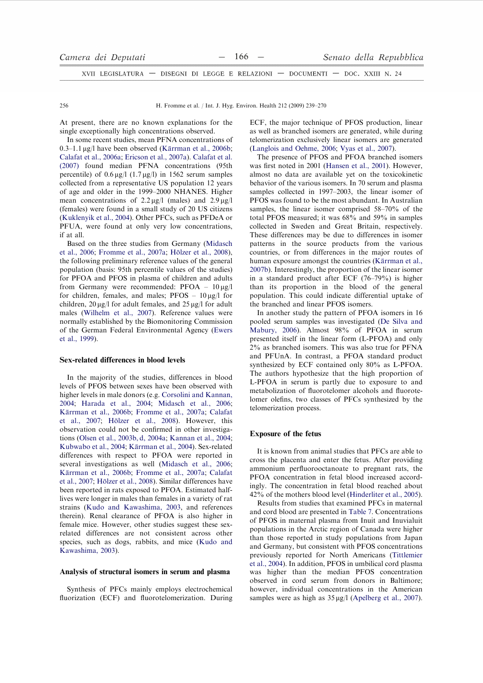| Camera dei Deputati                                                            |  | $-166$ $-$ |  | Senato della Repubblica |
|--------------------------------------------------------------------------------|--|------------|--|-------------------------|
| XVII LEGISLATURA — DISEGNI DI LEGGE E RELAZIONI — DOCUMENTI — DOC. XXIII N. 24 |  |            |  |                         |

H. Fromme et al. / Int. J. Hyg. Environ. Health 212 (2009) 239-270

At present, there are no known explanations for the single exceptionally high concentrations observed.

In some recent studies, mean PFNA concentrations of  $0.3-1.1 \mu$ g/l have been observed (Kärrman et al., 2006b; Calafat et al., 2006a; Ericson et al., 2007a). Calafat et al. (2007) found median PFNA concentrations (95th percentile) of  $0.6 \mu g/l$  (1.7  $\mu g/l$ ) in 1562 serum samples collected from a representative US population 12 years of age and older in the 1999–2000 NHANES. Higher mean concentrations of  $2.2 \mu g/l$  (males) and  $2.9 \mu g/l$ (females) were found in a small study of 20 US citizens (Kuklenyik et al., 2004). Other PFCs, such as PFDeA or PFUA, were found at only very low concentrations, if at all.

Based on the three studies from Germany (Midasch et al., 2006; Fromme et al., 2007a; Hölzer et al., 2008), the following preliminary reference values of the general population (basis: 95th percentile values of the studies) for PFOA and PFOS in plasma of children and adults from Germany were recommended:  $PFOA - 10 \mu g/l$ for children, females, and males;  $PFOS - 10 \mu g/l$  for children,  $20 \mu g/l$  for adult females, and  $25 \mu g/l$  for adult males (Wilhelm et al., 2007). Reference values were normally established by the Biomonitoring Commission of the German Federal Environmental Agency (Ewers et al., 1999).

# Sex-related differences in blood levels

In the majority of the studies, differences in blood levels of PFOS between sexes have been observed with higher levels in male donors (e.g. Corsolini and Kannan, 2004; Harada et al., 2004; Midasch et al., 2006; Kärrman et al., 2006b; Fromme et al., 2007a; Calafat et al., 2007; Hölzer et al., 2008). However, this observation could not be confirmed in other investigations (Olsen et al., 2003b, d, 2004a; Kannan et al., 2004; Kubwabo et al., 2004; Kärrman et al., 2004). Sex-related differences with respect to PFOA were reported in several investigations as well (Midasch et al., 2006; Kärrman et al., 2006b; Fromme et al., 2007a; Calafat et al., 2007; Hölzer et al., 2008). Similar differences have been reported in rats exposed to PFOA. Estimated halflives were longer in males than females in a variety of rat strains (Kudo and Kawashima, 2003, and references therein). Renal clearance of PFOA is also higher in female mice. However, other studies suggest these sexrelated differences are not consistent across other species, such as dogs, rabbits, and mice (Kudo and Kawashima, 2003).

### Analysis of structural isomers in serum and plasma

Synthesis of PFCs mainly employs electrochemical fluorization (ECF) and fluorotelomerization. During ECF, the major technique of PFOS production, linear as well as branched isomers are generated, while during telomerization exclusively linear isomers are generated (Langlois and Oehme, 2006; Vyas et al., 2007).

The presence of PFOS and PFOA branched isomers was first noted in 2001 (Hansen et al., 2001). However, almost no data are available yet on the toxicokinetic behavior of the various isomers. In 70 serum and plasma samples collected in 1997–2003, the linear isomer of PFOS was found to be the most abundant. In Australian samples, the linear isomer comprised 58-70% of the total PFOS measured; it was 68% and 59% in samples collected in Sweden and Great Britain, respectively. These differences may be due to differences in isomer patterns in the source products from the various countries, or from differences in the major routes of human exposure amongst the countries (Kärrman et al., 2007b). Interestingly, the proportion of the linear isomer in a standard product after ECF (76-79%) is higher than its proportion in the blood of the general population. This could indicate differential uptake of the branched and linear PFOS isomers.

In another study the pattern of PFOA isomers in 16 pooled serum samples was investigated (De Silva and Mabury, 2006). Almost 98% of PFOA in serum presented itself in the linear form (L-PFOA) and only 2% as branched isomers. This was also true for PFNA and PFUnA. In contrast, a PFOA standard product synthesized by ECF contained only 80% as L-PFOA. The authors hypothesize that the high proportion of L-PFOA in serum is partly due to exposure to and metabolization of fluorotelomer alcohols and fluorotelomer olefins, two classes of PFCs synthesized by the telomerization process.

### **Exposure of the fetus**

It is known from animal studies that PFCs are able to cross the placenta and enter the fetus. After providing ammonium perfluorooctanoate to pregnant rats, the PFOA concentration in fetal blood increased accordingly. The concentration in fetal blood reached about 42% of the mothers blood level (Hinderliter et al., 2005).

Results from studies that examined PFCs in maternal and cord blood are presented in Table 7. Concentrations of PFOS in maternal plasma from Inuit and Inuvialuit populations in the Arctic region of Canada were higher than those reported in study populations from Japan and Germany, but consistent with PFOS concentrations previously reported for North Americans (Tittlemier et al., 2004). In addition, PFOS in umbilical cord plasma was higher than the median PFOS concentration observed in cord serum from donors in Baltimore; however, individual concentrations in the American samples were as high as  $35 \mu g/l$  (Apelberg et al., 2007).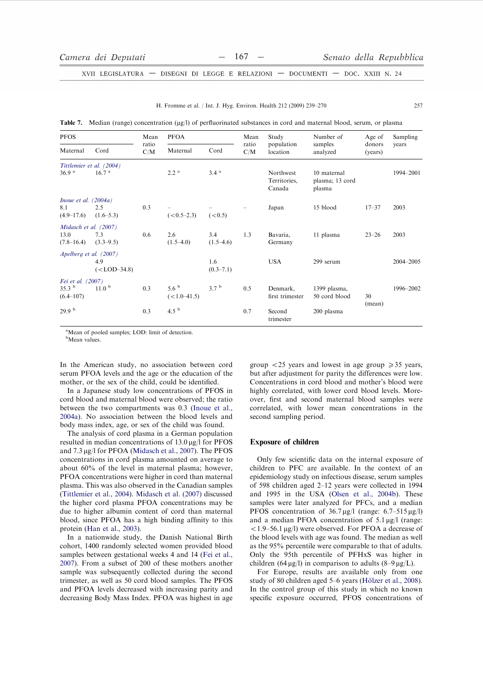H. Fromme et al. / Int. J. Hyg. Environ. Health 212 (2009) 239-270

| I |  |
|---|--|
|   |  |

Table 7. Median (range) concentration (µg/l) of perfluorinated substances in cord and maternal blood, serum, or plasma

| <b>PFOS</b>              |                       | Mean         | <b>PFOA</b>        |                      | Mean         | Study                               | Number of                                | Age of            | Sampling  |  |
|--------------------------|-----------------------|--------------|--------------------|----------------------|--------------|-------------------------------------|------------------------------------------|-------------------|-----------|--|
| Maternal                 | Cord                  | ratio<br>C/M | Maternal<br>Cord   |                      | ratio<br>C/M | population<br>location              | samples<br>analyzed                      | donors<br>(years) | years     |  |
| Tittlemier et al. (2004) |                       |              |                    |                      |              |                                     |                                          |                   |           |  |
| 36.9 <sup>a</sup>        | 16.7 <sup>a</sup>     |              | 2.2 <sup>a</sup>   | 3.4 <sup>a</sup>     |              | Northwest<br>Territories,<br>Canada | 10 maternal<br>plasma; 13 cord<br>plasma |                   | 1994-2001 |  |
| Inoue et al. $(2004a)$   |                       |              |                    |                      |              |                                     |                                          |                   |           |  |
| 8.1                      | 2.5                   | 0.3          |                    |                      |              | Japan                               | 15 blood                                 | $17 - 37$         | 2003      |  |
| $(4.9 - 17.6)$           | $(1.6-5.3)$           |              | $(< 0.5 - 2.3)$    | (< 0.5)              |              |                                     |                                          |                   |           |  |
| Midasch et al. (2007)    |                       |              |                    |                      |              |                                     |                                          |                   |           |  |
| 13.0<br>$(7.8 - 16.4)$   | 7.3<br>$(3.3 - 9.5)$  | 0.6          | 2.6<br>$(1.5-4.0)$ | 3.4<br>$(1.5-4.6)$   | 1.3          | Bavaria,<br>Germany                 | 11 plasma                                | $23 - 26$         | 2003      |  |
| Apelberg et al. (2007)   |                       |              |                    |                      |              |                                     |                                          |                   |           |  |
|                          | 4.9<br>$(<$ LOD-34.8) |              |                    | 1.6<br>$(0.3 - 7.1)$ |              | <b>USA</b>                          | 299 serum                                |                   | 2004-2005 |  |
| Fei et al. (2007)        |                       |              |                    |                      |              |                                     |                                          |                   |           |  |
| 35.3 <sup>b</sup>        | 11.0 <sup>b</sup>     | 0.3          | 5.6 <sup>b</sup>   | 3.7 <sup>b</sup>     | 0.5          | Denmark,                            | 1399 plasma,                             |                   | 1996-2002 |  |
| $(6.4 - 107)$            |                       |              | $(<1.0-41.5)$      |                      |              | first trimester                     | 50 cord blood                            | 30                |           |  |
| 29.9 <sup>b</sup>        |                       | 0.3          | 4.5 $^{b}$         |                      | 0.7          | Second<br>trimester                 | 200 plasma                               | (mean)            |           |  |

<sup>a</sup>Mean of pooled samples; LOD: limit of detection.

<sup>b</sup>Mean values.

In the American study, no association between cord serum PFOA levels and the age or the education of the mother, or the sex of the child, could be identified.

In a Japanese study low concentrations of PFOS in cord blood and maternal blood were observed; the ratio between the two compartments was 0.3 (Inoue et al., 2004a). No association between the blood levels and body mass index, age, or sex of the child was found.

The analysis of cord plasma in a German population resulted in median concentrations of  $13.0 \mu g/l$  for PFOS and 7.3 µg/l for PFOA (Midasch et al., 2007). The PFOS concentrations in cord plasma amounted on average to about 60% of the level in maternal plasma; however, PFOA concentrations were higher in cord than maternal plasma. This was also observed in the Canadian samples (Tittlemier et al., 2004). Midasch et al. (2007) discussed the higher cord plasma PFOA concentrations may be due to higher albumin content of cord than maternal blood, since PFOA has a high binding affinity to this protein (Han et al., 2003).

In a nationwide study, the Danish National Birth cohort, 1400 randomly selected women provided blood samples between gestational weeks 4 and 14 (Fei et al., 2007). From a subset of 200 of these mothers another sample was subsequently collected during the second trimester, as well as 50 cord blood samples. The PFOS and PFOA levels decreased with increasing parity and decreasing Body Mass Index. PFOA was highest in age group  $\langle 25 \rangle$  years and lowest in age group  $\geq 35$  years, but after adjustment for parity the differences were low. Concentrations in cord blood and mother's blood were highly correlated, with lower cord blood levels. Moreover, first and second maternal blood samples were correlated, with lower mean concentrations in the second sampling period.

# **Exposure of children**

Only few scientific data on the internal exposure of children to PFC are available. In the context of an epidemiology study on infectious disease, serum samples of 598 children aged 2-12 years were collected in 1994 and 1995 in the USA (Olsen et al., 2004b). These samples were later analyzed for PFCs, and a median PFOS concentration of  $36.7 \mu g/l$  (range:  $6.7-515 \mu g/l$ ) and a median PFOA concentration of 5.1 µg/l (range:  $<$ 1.9–56.1 µg/l) were observed. For PFOA a decrease of the blood levels with age was found. The median as well as the 95% percentile were comparable to that of adults. Only the 95th percentile of PFHxS was higher in children (64 µg/l) in comparison to adults (8–9 µg/L).

For Europe, results are available only from one study of 80 children aged 5–6 years (Hölzer et al., 2008). In the control group of this study in which no known specific exposure occurred, PFOS concentrations of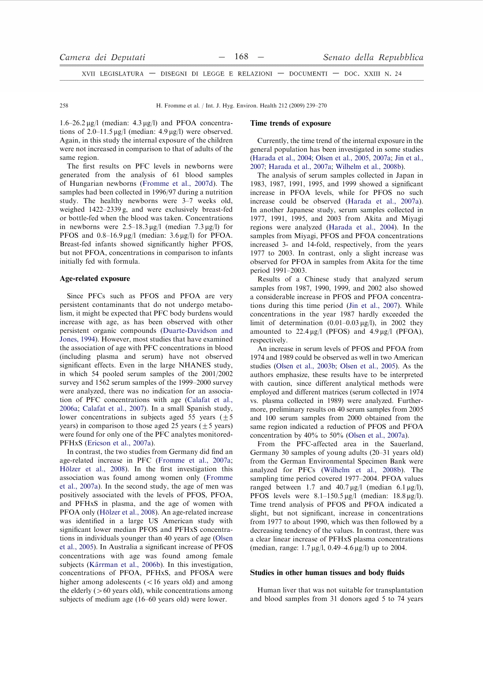| Camera dei Deputati                                                            |  |  |  |  |  | Senato della Repubblica |  |  |
|--------------------------------------------------------------------------------|--|--|--|--|--|-------------------------|--|--|
| XVII LEGISLATURA — DISEGNI DI LEGGE E RELAZIONI — DOCUMENTI — DOC. XXIII N. 24 |  |  |  |  |  |                         |  |  |

H. Fromme et al. / Int. J. Hyg. Environ. Health 212 (2009) 239-270

 $1.6-26.2 \mu$ g/l (median:  $4.3 \mu$ g/l) and PFOA concentrations of  $2.0-11.5 \mu g/l$  (median:  $4.9 \mu g/l$ ) were observed. Again, in this study the internal exposure of the children were not increased in comparison to that of adults of the same region.

The first results on PFC levels in newborns were generated from the analysis of 61 blood samples of Hungarian newborns (Fromme et al., 2007d). The samples had been collected in 1996/97 during a nutrition study. The healthy newborns were 3-7 weeks old, weighed  $1422-2339$  g, and were exclusively breast-fed or bottle-fed when the blood was taken. Concentrations in newborns were  $2.5-18.3 \mu g/l$  (median 7.3  $\mu g/l$ ) for PFOS and  $0.8-16.9 \mu g/l$  (median:  $3.6 \mu g/l$ ) for PFOA. Breast-fed infants showed significantly higher PFOS, but not PFOA, concentrations in comparison to infants initially fed with formula.

## Age-related exposure

Since PFCs such as PFOS and PFOA are very persistent contaminants that do not undergo metabolism, it might be expected that PFC body burdens would increase with age, as has been observed with other persistent organic compounds (Duarte-Davidson and Jones, 1994). However, most studies that have examined the association of age with PFC concentrations in blood (including plasma and serum) have not observed significant effects. Even in the large NHANES study, in which 54 pooled serum samples of the  $2001/2002$ survey and 1562 serum samples of the 1999–2000 survey were analyzed, there was no indication for an association of PFC concentrations with age (Calafat et al., 2006a; Calafat et al., 2007). In a small Spanish study, lower concentrations in subjects aged 55 years ( $\pm$  5 years) in comparison to those aged 25 years  $(+5 \text{ years})$ were found for only one of the PFC analytes monitored-PFHxS (Ericson et al., 2007a).

In contrast, the two studies from Germany did find an age-related increase in PFC (Fromme et al., 2007a; Hölzer et al., 2008). In the first investigation this association was found among women only (Fromme et al., 2007a). In the second study, the age of men was positively associated with the levels of PFOS, PFOA, and PFHxS in plasma, and the age of women with PFOA only (Hölzer et al., 2008). An age-related increase was identified in a large US American study with significant lower median PFOS and PFHxS concentrations in individuals younger than 40 years of age (Olsen et al., 2005). In Australia a significant increase of PFOS concentrations with age was found among female subjects (Kärrman et al., 2006b). In this investigation, concentrations of PFOA, PFHxS, and PFOSA were higher among adolescents  $(< 16$  years old) and among the elderly  $(>60$  years old), while concentrations among subjects of medium age (16–60 years old) were lower.

### Time trends of exposure

Currently, the time trend of the internal exposure in the general population has been investigated in some studies (Harada et al., 2004; Olsen et al., 2005, 2007a; Jin et al., 2007; Harada et al., 2007a; Wilhelm et al., 2008b).

The analysis of serum samples collected in Japan in 1983, 1987, 1991, 1995, and 1999 showed a significant increase in PFOA levels, while for PFOS no such increase could be observed (Harada et al., 2007a). In another Japanese study, serum samples collected in 1977, 1991, 1995, and 2003 from Akita and Mivagi regions were analyzed (Harada et al., 2004). In the samples from Miyagi, PFOS and PFOA concentrations increased 3- and 14-fold, respectively, from the years 1977 to 2003. In contrast, only a slight increase was observed for PFOA in samples from Akita for the time period 1991-2003.

Results of a Chinese study that analyzed serum samples from 1987, 1990, 1999, and 2002 also showed a considerable increase in PFOS and PFOA concentrations during this time period (Jin et al., 2007). While concentrations in the year 1987 hardly exceeded the limit of determination  $(0.01-0.03 \mu g/l)$ , in 2002 they amounted to  $22.4 \mu g/l$  (PFOS) and  $4.9 \mu g/l$  (PFOA), respectively

An increase in serum levels of PFOS and PFOA from 1974 and 1989 could be observed as well in two American studies (Olsen et al., 2003b; Olsen et al., 2005). As the authors emphasize, these results have to be interpreted with caution, since different analytical methods were employed and different matrices (serum collected in 1974 vs. plasma collected in 1989) were analyzed. Furthermore, preliminary results on 40 serum samples from 2005 and 100 serum samples from 2000 obtained from the same region indicated a reduction of PFOS and PFOA concentration by 40% to 50% (Olsen et al., 2007a).

From the PFC-affected area in the Sauerland, Germany 30 samples of young adults (20–31 years old) from the German Environmental Specimen Bank were analyzed for PFCs (Wilhelm et al., 2008b). The sampling time period covered 1977–2004. PFOA values ranged between 1.7 and  $40.7 \mu\text{g/l}$  (median 6.1  $\mu\text{g/l}$ ), PFOS levels were  $8.1-150.5 \mu g/l$  (median:  $18.8 \mu g/l$ ). Time trend analysis of PFOS and PFOA indicated a slight, but not significant, increase in concentrations from 1977 to about 1990, which was then followed by a decreasing tendency of the values. In contrast, there was a clear linear increase of PFHxS plasma concentrations (median, range:  $1.7 \mu g/l$ , 0.49–4.6  $\mu g/l$ ) up to 2004.

#### Studies in other human tissues and body fluids

Human liver that was not suitable for transplantation and blood samples from 31 donors aged 5 to 74 years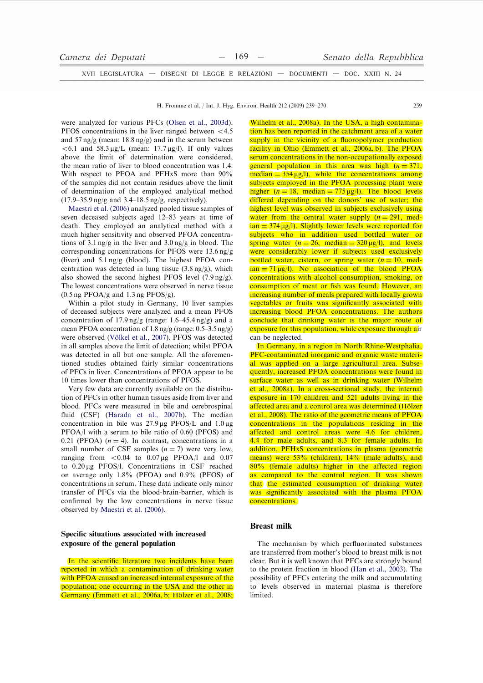| Camera dei Deputati |  | $-169$ $-$ |                                                                                | Senato della Repubblica |
|---------------------|--|------------|--------------------------------------------------------------------------------|-------------------------|
|                     |  |            | XVII LEGISLATURA — DISEGNI DI LEGGE E RELAZIONI — DOCUMENTI — DOC. XXIII N. 24 |                         |

H. Fromme et al. / Int. J. Hyg. Environ. Health 212 (2009) 239-270

were analyzed for various PFCs (Olsen et al., 2003d). PFOS concentrations in the liver ranged between  $<$  4.5 and 57 ng/g (mean:  $18.8$  ng/g) and in the serum between  $< 6.1$  and 58.3  $\mu$ g/L (mean: 17.7  $\mu$ g/l). If only values above the limit of determination were considered, the mean ratio of liver to blood concentration was 1.4. With respect to PFOA and PFHxS more than 90% of the samples did not contain residues above the limit of determination of the employed analytical method  $(17.9-35.9 \text{ ng/g} \text{ and } 3.4-18.5 \text{ ng/g}, \text{ respectively}).$ 

Maestri et al. (2006) analyzed pooled tissue samples of seven deceased subjects aged 12-83 years at time of death. They employed an analytical method with a much higher sensitivity and observed PFOA concentrations of 3.1 ng/g in the liver and  $3.0$  ng/g in blood. The corresponding concentrations for PFOS were 13.6 ng/g (liver) and  $5.1 \text{ ng/g}$  (blood). The highest PFOA concentration was detected in lung tissue  $(3.8 \text{ ng/g})$ , which also showed the second highest PFOS level  $(7.9 \text{ ng/g}).$ The lowest concentrations were observed in nerve tissue.  $(0.5 \text{ ng } PFOA/g \text{ and } 1.3 \text{ ng } PFOS/g).$ 

Within a pilot study in Germany, 10 liver samples of deceased subjects were analyzed and a mean PFOS concentration of 17.9 ng/g (range:  $1.6-45.4$  ng/g) and a mean PFOA concentration of  $1.8 \text{ ng/g}$  (range: 0.5–3.5 ng/g) were observed (Völkel et al., 2007). PFOS was detected in all samples above the limit of detection; whilst PFOA was detected in all but one sample. All the aforementioned studies obtained fairly similar concentrations of PFCs in liver. Concentrations of PFOA appear to be 10 times lower than concentrations of PFOS.

Very few data are currently available on the distribution of PFCs in other human tissues aside from liver and blood. PFCs were measured in bile and cerebrospinal fluid (CSF) (Harada et al., 2007b). The median concentration in bile was  $27.9 \mu$ g PFOS/L and  $1.0 \mu$ g PFOA/l with a serum to bile ratio of 0.60 (PFOS) and 0.21 (PFOA)  $(n = 4)$ . In contrast, concentrations in a small number of CSF samples  $(n = 7)$  were very low, ranging from  $\lt 0.04$  to 0.07 µg PFOA/l and 0.07 to 0.20 µg PFOS/l. Concentrations in CSF reached on average only 1.8% (PFOA) and 0.9% (PFOS) of concentrations in serum. These data indicate only minor transfer of PFCs via the blood-brain-barrier, which is confirmed by the low concentrations in nerve tissue observed by Maestri et al. (2006).

# Specific situations associated with increased exposure of the general population

In the scientific literature two incidents have been reported in which a contamination of drinking water with PFOA caused an increased internal exposure of the population; one occurring in the USA and the other in Germany (Emmett et al., 2006a, b; Hölzer et al., 2008; Wilhelm et al., 2008a). In the USA, a high contamination has been reported in the catchment area of a water supply in the vicinity of a fluoropolymer production facility in Ohio (Emmett et al., 2006a, b). The PFOA serum concentrations in the non-occupationally exposed general population in this area was high  $(n = 371)$ ,  $median = 354 \mu g/l$ , while the concentrations among subjects employed in the PFOA processing plant were higher  $(n = 18$ , median = 775  $\mu$ g/l). The blood levels differed depending on the donors' use of water; the highest level was observed in subjects exclusively using water from the central water supply  $(n = 291, \text{ med-})$  $\tan$  = 374  $\mu$ g/l). Slightly lower levels were reported for subjects who in addition used bottled water or spring water  $(n = 26, \text{ median} = 320 \,\mu\text{g/l})$ , and levels were considerably lower if subjects used exclusively bottled water, cistern, or spring water  $(n = 10, \text{ med-})$  $\tan = 71 \,\mu g/l$ ). No association of the blood PFOA concentrations with alcohol consumption, smoking, or consumption of meat or fish was found. However, an increasing number of meals prepared with locally grown vegetables or fruits was significantly associated with increasing blood PFOA concentrations. The authors conclude that drinking water is the major route of exposure for this population, while exposure through air can be neglected.

 $259$ 

In Germany, in a region in North Rhine-Westphalia, PFC-contaminated inorganic and organic waste material was applied on a large agricultural area. Subsequently, increased PFOA concentrations were found in surface water as well as in drinking water (Wilhelm) et al., 2008a). In a cross-sectional study, the internal exposure in 170 children and 521 adults living in the affected area and a control area was determined (Hölzer et al., 2008). The ratio of the geometric means of PFOA concentrations in the populations residing in the affected and control areas were 4.6 for children. 4.4 for male adults, and 8.3 for female adults. In addition, PFHxS concentrations in plasma (geometric means) were 53% (children), 14% (male adults), and 80% (female adults) higher in the affected region as compared to the control region. It was shown that the estimated consumption of drinking water was significantly associated with the plasma PFOA concentrations.

### **Breast milk**

The mechanism by which perfluorinated substances are transferred from mother's blood to breast milk is not clear. But it is well known that PFCs are strongly bound to the protein fraction in blood (Han et al., 2003). The possibility of PFCs entering the milk and accumulating to levels observed in maternal plasma is therefore limited.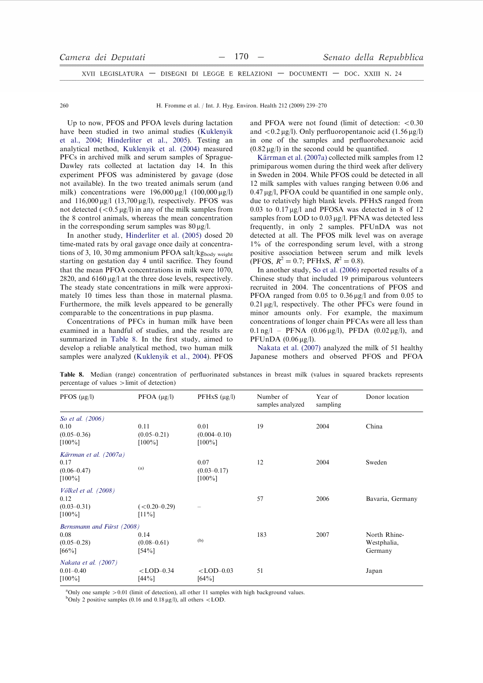| Camera dei Deputati                                                            |  | $-170 -$ |  | Senato della Repubblica |
|--------------------------------------------------------------------------------|--|----------|--|-------------------------|
| XVII LEGISLATURA — DISEGNI DI LEGGE E RELAZIONI — DOCUMENTI — DOC. XXIII N. 24 |  |          |  |                         |

H. Fromme et al. / Int. J. Hyg. Environ. Health 212 (2009) 239-270

Up to now, PFOS and PFOA levels during lactation have been studied in two animal studies (Kuklenyik et al., 2004; Hinderliter et al., 2005). Testing an analytical method, Kuklenyik et al. (2004) measured PFCs in archived milk and serum samples of Sprague-Dawley rats collected at lactation day 14. In this experiment PFOS was administered by gavage (dose not available). In the two treated animals serum (and milk) concentrations were  $196,000 \mu g/l$  (100,000  $\mu g/l$ ) and  $116,000 \mu g/l$  (13,700  $\mu g/l$ ), respectively. PFOS was not detected  $(<0.5 \,\mu g/l$ ) in any of the milk samples from the 8 control animals, whereas the mean concentration in the corresponding serum samples was  $80 \mu g/l$ .

In another study, Hinderliter et al. (2005) dosed 20 time-mated rats by oral gavage once daily at concentrations of 3, 10, 30 mg ammonium PFOA salt/kgbody weight starting on gestation day 4 until sacrifice. They found that the mean PFOA concentrations in milk were 1070, 2820, and  $6160 \mu g/l$  at the three dose levels, respectively. The steady state concentrations in milk were approximately 10 times less than those in maternal plasma. Furthermore, the milk levels appeared to be generally comparable to the concentrations in pup plasma.

Concentrations of PFCs in human milk have been examined in a handful of studies, and the results are summarized in Table 8. In the first study, aimed to develop a reliable analytical method, two human milk samples were analyzed (Kuklenyik et al., 2004). PFOS and PFOA were not found (limit of detection:  $< 0.30$ ) and  $\langle 0.2 \mu g/l \rangle$ . Only perfluoropentanoic acid (1.56  $\mu g/l$ ) in one of the samples and perfluorohexanoic acid  $(0.82 \,\mu\text{g/l})$  in the second could be quantified.

Kärrman et al. (2007a) collected milk samples from 12 primiparous women during the third week after delivery in Sweden in 2004. While PFOS could be detected in all 12 milk samples with values ranging between 0.06 and  $0.47 \mu$ g/l, PFOA could be quantified in one sample only, due to relatively high blank levels. PFHxS ranged from  $0.03$  to  $0.17 \mu g/l$  and PFOSA was detected in 8 of 12 samples from LOD to 0.03 µg/l. PFNA was detected less frequently, in only 2 samples. PFUnDA was not detected at all. The PFOS milk level was on average 1% of the corresponding serum level, with a strong positive association between serum and milk levels (PFOS,  $R^2 = 0.7$ ; PFHxS,  $R^2 = 0.8$ ).

In another study, So et al. (2006) reported results of a Chinese study that included 19 primiparous volunteers recruited in 2004. The concentrations of PFOS and PFOA ranged from 0.05 to  $0.36 \mu g/l$  and from 0.05 to  $0.21 \,\mu$ g/l, respectively. The other PFCs were found in minor amounts only. For example, the maximum concentrations of longer chain PFCAs were all less than  $0.1 \text{ ng/l}$  – PFNA  $(0.06 \mu g/l)$ , PFDA  $(0.02 \mu g/l)$ , and PFUnDA  $(0.06 \mu g/l)$ .

Nakata et al. (2007) analyzed the milk of 51 healthy Japanese mothers and observed PFOS and PFOA

| ے                                                                   |                                      |                                       |                               |                     |                                        |
|---------------------------------------------------------------------|--------------------------------------|---------------------------------------|-------------------------------|---------------------|----------------------------------------|
| PFOS $(\mu g/l)$                                                    | PFOA $(\mu g/l)$                     | PFHxS $(\mu g/l)$                     | Number of<br>samples analyzed | Year of<br>sampling | Donor location                         |
| So et al. (2006)                                                    |                                      |                                       |                               |                     |                                        |
| 0.10<br>$(0.05 - 0.36)$<br>$[100\%]$                                | 0.11<br>$(0.05 - 0.21)$<br>$[100\%]$ | 0.01<br>$(0.004 - 0.10)$<br>$[100\%]$ | 19                            | 2004                | China                                  |
| Kärrman et al. (2007a)<br>0.17<br>$(0.06 - 0.47)$<br>$[100\%]$      | (a)                                  | 0.07<br>$(0.03 - 0.17)$<br>$[100\%]$  | 12                            | 2004                | Sweden                                 |
| <i>Völkel et al.</i> (2008)<br>0.12<br>$(0.03 - 0.31)$<br>$[100\%]$ | $(<0.20-0.29)$<br>$[11\%]$           |                                       | 57                            | 2006                | Bavaria, Germany                       |
| Bernsmann and Fürst (2008)<br>0.08<br>$(0.05 - 0.28)$<br>$[66\%]$   | 0.14<br>$(0.08 - 0.61)$<br>$[54\%]$  | (b)                                   | 183                           | 2007                | North Rhine-<br>Westphalia,<br>Germany |
| <i>Nakata et al.</i> (2007)<br>$0.01 - 0.40$<br>$[100\%]$           | $<$ LOD $-0.34$<br>[44%]             | $<$ LOD $-0.03$<br>[64%]              | 51                            |                     | Japan                                  |

Table 8. Median (range) concentration of perfluorinated substances in breast milk (values in squared brackets represents percentage of values  $>$  limit of detection)

 $^a$ Only one sample  $> 0.01$  (limit of detection), all other 11 samples with high background values.

<sup>b</sup>Only 2 positive samples (0.16 and 0.18  $\mu$ g/l), all others <LOD.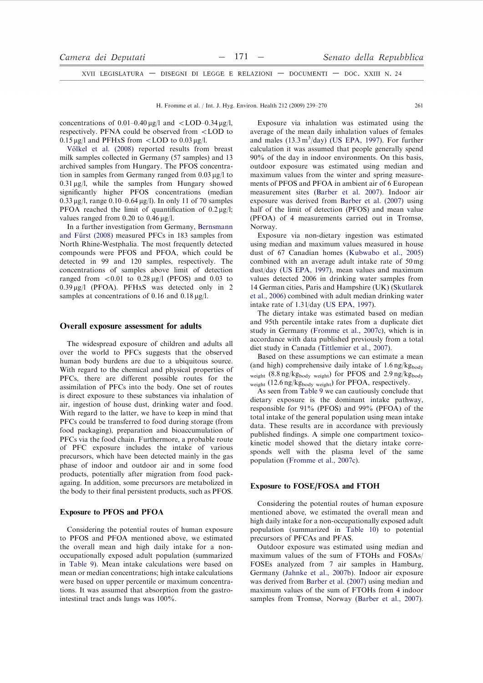| Camera dei Deputati                                                            | $-171 -$ |  | Senato della Repubblica |
|--------------------------------------------------------------------------------|----------|--|-------------------------|
| XVII LEGISLATURA — DISEGNI DI LEGGE E RELAZIONI — DOCUMENTI — DOC. XXIII N. 24 |          |  |                         |

concentrations of 0.01–0.40  $\mu$ g/l and <LOD–0.34  $\mu$ g/l, respectively. PFNA could be observed from <LOD to  $0.15 \mu g/l$  and PFHxS from <LOD to  $0.03 \mu g/l$ .

Völkel et al. (2008) reported results from breast milk samples collected in Germany (57 samples) and 13 archived samples from Hungary. The PFOS concentration in samples from Germany ranged from 0.03 ug/l to  $0.31 \,\mathrm{\upmu g/l}$ , while the samples from Hungary showed significantly higher PFOS concentrations (median  $0.33 \mu$ g/l, range 0.10–0.64  $\mu$ g/l). In only 11 of 70 samples PFOA reached the limit of quantification of  $0.2 \mu g/l$ ; values ranged from 0.20 to  $0.46 \mu g/l$ .

In a further investigation from Germany, Bernsmann and Fürst (2008) measured PFCs in 183 samples from North Rhine-Westphalia. The most frequently detected compounds were PFOS and PFOA, which could be detected in 99 and 120 samples, respectively. The concentrations of samples above limit of detection ranged from  $< 0.01$  to  $0.28 \mu g/l$  (PFOS) and 0.03 to  $0.39 \mu g/l$  (PFOA). PFHxS was detected only in 2 samples at concentrations of 0.16 and 0.18  $\mu$ g/l.

### Overall exposure assessment for adults

The widespread exposure of children and adults all over the world to PFCs suggests that the observed human body burdens are due to a ubiquitous source. With regard to the chemical and physical properties of PFCs, there are different possible routes for the assimilation of PFCs into the body. One set of routes is direct exposure to these substances via inhalation of air, ingestion of house dust, drinking water and food. With regard to the latter, we have to keep in mind that PFCs could be transferred to food during storage (from food packaging), preparation and bioaccumulation of PFCs via the food chain. Furthermore, a probable route of PFC exposure includes the intake of various precursors, which have been detected mainly in the gas phase of indoor and outdoor air and in some food products, potentially after migration from food packagaing. In addition, some precursors are metabolized in the body to their final persistent products, such as PFOS.

## **Exposure to PFOS and PFOA**

Considering the potential routes of human exposure to PFOS and PFOA mentioned above, we estimated the overall mean and high daily intake for a nonoccupationally exposed adult population (summarized in Table 9). Mean intake calculations were based on mean or median concentrations; high intake calculations were based on upper percentile or maximum concentrations. It was assumed that absorption from the gastrointestinal tract ands lungs was 100%.

Exposure via inhalation was estimated using the average of the mean daily inhalation values of females and males  $(13.3 \text{ m}^3/\text{day})$  (US EPA, 1997). For further calculation it was assumed that people generally spend 90% of the day in indoor environments. On this basis, outdoor exposure was estimated using median and maximum values from the winter and spring measurements of PFOS and PFOA in ambient air of 6 European measurement sites (Barber et al. 2007). Indoor air exposure was derived from Barber et al. (2007) using half of the limit of detection (PFOS) and mean value (PFOA) of 4 measurements carried out in Tromsø, Norway.

 $261$ 

Exposure via non-dietary ingestion was estimated using median and maximum values measured in house dust of 67 Canadian homes (Kubwabo et al., 2005) combined with an average adult intake rate of 50 mg dust/day (US EPA, 1997), mean values and maximum values detected 2006 in drinking water samples from 14 German cities, Paris and Hampshire (UK) (Skutlarek et al., 2006) combined with adult median drinking water intake rate of 1.31/day (US EPA, 1997).

The dietary intake was estimated based on median and 95th percentile intake rates from a duplicate diet study in Germany (Fromme et al., 2007c), which is in accordance with data published previously from a total diet study in Canada (Tittlemier et al., 2007).

Based on these assumptions we can estimate a mean (and high) comprehensive daily intake of  $1.6 \text{ ng/kg}_{\text{body}}$ weight (8.8 ng/kgbody weight) for PFOS and 2.9 ng/kgbody weight (12.6 ng/kg<sub>body weight</sub>) for PFOA, respectively.

As seen from Table 9 we can cautiously conclude that dietary exposure is the dominant intake pathway, responsible for 91% (PFOS) and 99% (PFOA) of the total intake of the general population using mean intake data. These results are in accordance with previously published findings. A simple one compartment toxicokinetic model showed that the dietary intake corresponds well with the plasma level of the same population (Fromme et al., 2007c).

### **Exposure to FOSE/FOSA and FTOH**

Considering the potential routes of human exposure mentioned above, we estimated the overall mean and high daily intake for a non-occupationally exposed adult population (summarized in Table 10) to potential precursors of PFCAs and PFAS.

Outdoor exposure was estimated using median and maximum values of the sum of FTOHs and FOSAs/ FOSEs analyzed from 7 air samples in Hamburg, Germany (Jahnke et al., 2007b). Indoor air exposure was derived from Barber et al. (2007) using median and maximum values of the sum of FTOHs from 4 indoor samples from Tromsø, Norway (Barber et al., 2007).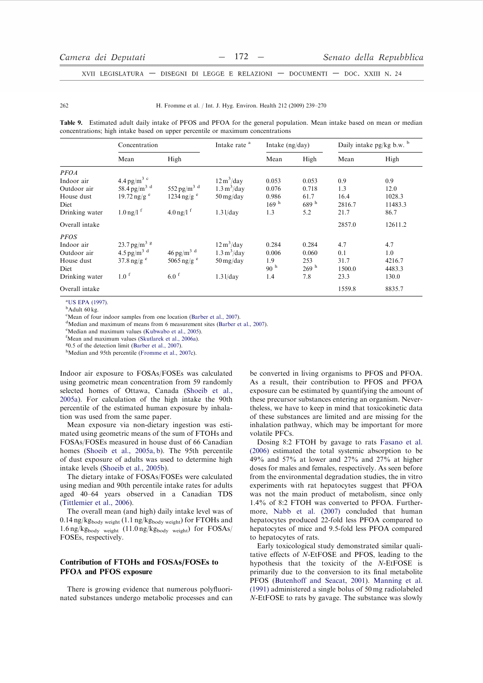$262$ 

### H. Fromme et al. / Int. J. Hyg. Environ. Health 212 (2009) 239-270

Table 9. Estimated adult daily intake of PFOS and PFOA for the general population. Mean intake based on mean or median concentrations; high intake based on upper percentile or maximum concentrations

|                                                                                  | Concentration                                                                                               |                                                                        | Intake rate <sup>a</sup>                                                                             | Intake (ng/day)                                 |                                                  | Daily intake $pg/kg$ b.w. $b$        |                                         |
|----------------------------------------------------------------------------------|-------------------------------------------------------------------------------------------------------------|------------------------------------------------------------------------|------------------------------------------------------------------------------------------------------|-------------------------------------------------|--------------------------------------------------|--------------------------------------|-----------------------------------------|
|                                                                                  | Mean                                                                                                        | High                                                                   |                                                                                                      | Mean                                            | High                                             | Mean                                 | High                                    |
| <b>PFOA</b><br>Indoor air<br>Outdoor air                                         | 4.4 pg/m <sup>3 c</sup><br>58.4 pg/m <sup>3 d</sup>                                                         | 552 pg/m <sup>3 d</sup>                                                | $12 \text{ m}^3/\text{day}$<br>$1.3 \text{ m}^3/\text{day}$                                          | 0.053<br>0.076                                  | 0.053<br>0.718                                   | 0.9<br>1.3                           | 0.9<br>12.0                             |
| House dust<br>Diet<br>Drinking water                                             | $19.72 \text{ ng/g}$ <sup>e</sup><br>$1.0 \,\mathrm{ng/l}$ <sup>f</sup>                                     | $1234$ ng/g $^{\circ}$<br>$4.0 \,\mathrm{ng/l}$ <sup>f</sup>           | $50 \,\mathrm{mg/day}$<br>$1.31$ /day                                                                | 0.986<br>169 <sup>h</sup><br>1.3                | 61.7<br>689h<br>5.2                              | 16.4<br>2816.7<br>21.7               | 1028.3<br>11483.3<br>86.7               |
| Overall intake                                                                   |                                                                                                             |                                                                        |                                                                                                      |                                                 |                                                  | 2857.0                               | 12611.2                                 |
| <b>PFOS</b><br>Indoor air<br>Outdoor air<br>House dust<br>Diet<br>Drinking water | 23.7 pg/m <sup>3 g</sup><br>4.5 pg/m <sup>3 d</sup><br>$37.8 \text{ ng/g}$ <sup>e</sup><br>1.0 <sup>f</sup> | $46$ pg/m <sup>3 d</sup><br>5065 ng/g $^{\circ}$<br>$6.0$ <sup>f</sup> | $12 \text{ m}^3/\text{day}$<br>$1.3 \text{ m}^3/\text{day}$<br>$50 \,\mathrm{mg/day}$<br>$1.31$ /day | 0.284<br>0.006<br>1.9<br>90 <sup>h</sup><br>1.4 | 0.284<br>0.060<br>253<br>269 <sup>h</sup><br>7.8 | 4.7<br>0.1<br>31.7<br>1500.0<br>23.3 | 4.7<br>1.0<br>4216.7<br>4483.3<br>130.0 |
| Overall intake                                                                   |                                                                                                             |                                                                        |                                                                                                      |                                                 |                                                  | 1559.8                               | 8835.7                                  |

<sup>a</sup>US EPA (1997).

<sup>b</sup>Adult 60 kg.

<sup>c</sup>Mean of four indoor samples from one location (Barber et al., 2007).

<sup>d</sup>Median and maximum of means from 6 measurement sites (Barber et al., 2007).

<sup>e</sup>Median and maximum values (Kubwabo et al., 2005).

<sup>f</sup>Mean and maximum values (Skutlarek et al., 2006a).

 $0.5$  of the detection limit (Barber et al., 2007)

<sup>h</sup>Median and 95th percentile (Fromme et al., 2007c).

Indoor air exposure to FOSAs/FOSEs was calculated using geometric mean concentration from 59 randomly selected homes of Ottawa, Canada (Shoeib et al., 2005a). For calculation of the high intake the 90th percentile of the estimated human exposure by inhalation was used from the same paper.

Mean exposure via non-dietary ingestion was estimated using geometric means of the sum of FTOHs and FOSAs/FOSEs measured in house dust of 66 Canadian homes (Shoeib et al., 2005a, b). The 95th percentile of dust exposure of adults was used to determine high intake levels (Shoeib et al., 2005b).

The dietary intake of FOSAs/FOSEs were calculated using median and 90th percentile intake rates for adults aged 40-64 years observed in a Canadian TDS (Tittlemier et al., 2006).

The overall mean (and high) daily intake level was of  $0.14$  ng/kg<sub>body</sub> weight (1.1 ng/kg<sub>body</sub> weight) for FTOHs and  $1.6 \text{ ng/kg}$ <sub>body</sub> weight  $(11.0 \text{ ng/kg}$ <sub>body</sub> weight) for FOSAs/ FOSEs, respectively.

# Contribution of FTOHs and FOSAs/FOSEs to **PFOA and PFOS exposure**

There is growing evidence that numerous polyfluorinated substances undergo metabolic processes and can be converted in living organisms to PFOS and PFOA. As a result, their contribution to PFOS and PFOA exposure can be estimated by quantifying the amount of these precursor substances entering an organism. Nevertheless, we have to keep in mind that toxicokinetic data of these substances are limited and are missing for the inhalation pathway, which may be important for more volatile PFCs.

Dosing 8:2 FTOH by gavage to rats Fasano et al. (2006) estimated the total systemic absorption to be 49% and 57% at lower and 27% and 27% at higher doses for males and females, respectively. As seen before from the environmental degradation studies, the in vitro experiments with rat hepatocytes suggest that PFOA was not the main product of metabolism, since only 1.4% of 8:2 FTOH was converted to PFOA. Furthermore, Nabb et al. (2007) concluded that human hepatocytes produced 22-fold less PFOA compared to hepatocytes of mice and 9.5-fold less PFOA compared to hepatocytes of rats.

Early toxicological study demonstrated similar qualitative effects of N-EtFOSE and PFOS, leading to the hypothesis that the toxicity of the N-EtFOSE is primarily due to the conversion to its final metabolite PFOS (Butenhoff and Seacat, 2001). Manning et al.  $(1991)$  administered a single bolus of 50 mg radiolabeled N-EtFOSE to rats by gavage. The substance was slowly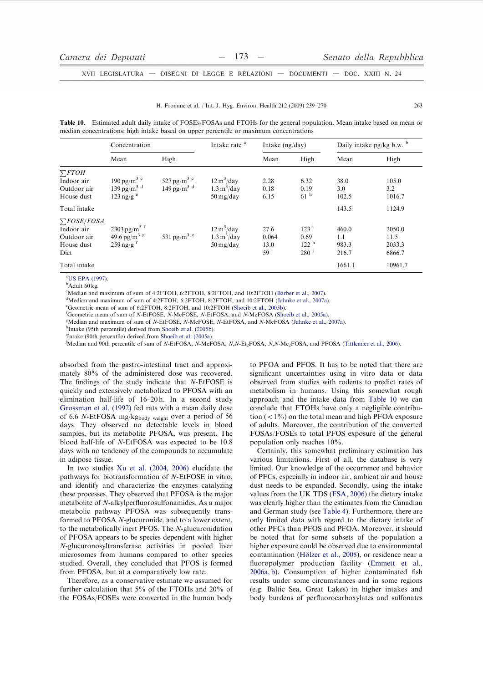#### H. Fromme et al. / Int. J. Hyg. Environ. Health 212 (2009) 239-270

Table 10. Estimated adult daily intake of FOSEs/FOSAs and FTOHs for the general population. Mean intake based on mean or median concentrations; high intake based on upper percentile or maximum concentrations

|                                                                     | Concentration                                                                         |                                                                 | Intake rate <sup>a</sup>                                                                   | Intake $(ng/day)$             |                                                                  | Daily intake $pg/kg$ b.w. $b$  |                                    |
|---------------------------------------------------------------------|---------------------------------------------------------------------------------------|-----------------------------------------------------------------|--------------------------------------------------------------------------------------------|-------------------------------|------------------------------------------------------------------|--------------------------------|------------------------------------|
|                                                                     | Mean                                                                                  | High                                                            |                                                                                            | Mean                          | High                                                             | Mean                           | High                               |
| $\sum$ FTOH<br>Indoor air<br>Outdoor air<br>House dust              | 190 pg/m <sup>3 c</sup><br>139 pg/m <sup>3 d</sup><br>$123 \text{ ng/g}$ <sup>e</sup> | 527 pg/m <sup>3 c</sup><br>$149 \,\mathrm{pg/m^3}$ <sup>d</sup> | $12 \text{ m}^3/\text{day}$<br>$1.3 \text{ m}^3/\text{day}$<br>$50 \,\mathrm{mg/day}$      | 2.28<br>0.18<br>6.15          | 6.32<br>0.19<br>61 <sup>h</sup>                                  | 38.0<br>3.0<br>102.5           | 105.0<br>3.2<br>1016.7             |
| Total intake                                                        |                                                                                       |                                                                 |                                                                                            |                               |                                                                  | 143.5                          | 1124.9                             |
| $\sum$ FOSE/FOSA<br>Indoor air<br>Outdoor air<br>House dust<br>Diet | $2303 \text{ pg/m}^3$ f<br>49.6 pg/m <sup>3 g</sup><br>$259$ ng/g <sup>f</sup>        | 531 pg/m <sup>3 g</sup>                                         | $12 \text{ m}^3/\text{day}$<br>$1.3 \,\mathrm{m}^3/\mathrm{day}$<br>$50 \,\mathrm{mg/day}$ | 27.6<br>0.064<br>13.0<br>59 j | 123 <sup>1</sup><br>0.69<br>122 <sup>h</sup><br>280 <sup>j</sup> | 460.0<br>1.1<br>983.3<br>216.7 | 2050.0<br>11.5<br>2033.3<br>6866.7 |
| Total intake                                                        |                                                                                       |                                                                 |                                                                                            |                               |                                                                  | 1661.1                         | 10961.7                            |

<sup>a</sup>US EPA (1997).

<sup>b</sup>Adult 60 kg

<sup>c</sup>Median and maximum of sum of 4:2FTOH, 6:2FTOH, 8:2FTOH, and 10:2FTOH (Barber et al., 2007).

 $^d$ Median and maximum of sum of 4:2FTOH, 6:2FTOH, 8:2FTOH, and 10:2FTOH (Jahnke et al., 2007a).

<sup>e</sup>Geometric mean of sum of 6:2FTOH, 8:2FTOH, and 10:2FTOH (Shoeib et al., 2005b).

<sup>f</sup>Geometric mean of sum of N-EtFOSE, N-MeFOSE, N-EtFOSA, and N-MeFOSA (Shoeib et al., 2005a).

<sup>g</sup>Median and maximum of sum of N-EtFOSE, N-MeFOSE, N-EtFOSA, and N-MeFOSA (Jahnke et al., 2007a).

<sup>h</sup>Intake (95th percentile) derived from Shoeib et al. (2005b).

<sup>i</sup>Intake (90th percentile) derived from Shoeib et al. (2005a).

<sup>j</sup>Median and 90th percentile of sum of N-EtFOSA, N-MeFOSA, N,N-Et<sub>2</sub>FOSA, N,N-Me<sub>2</sub>FOSA, and PFOSA (Tittlemier et al., 2006).

absorbed from the gastro-intestinal tract and approximately 80% of the administered dose was recovered. The findings of the study indicate that N-EtFOSE is quickly and extensively metabolized to PFOSA with an elimination half-life of  $16-20$  h. In a second study Grossman et al. (1992) fed rats with a mean daily dose of 6.6 N-EtFOSA mg/kgbody weight over a period of 56 days. They observed no detectable levels in blood samples, but its metabolite PFOSA, was present. The blood half-life of N-EtFOSA was expected to be 10.8 days with no tendency of the compounds to accumulate in adipose tissue.

In two studies Xu et al. (2004, 2006) elucidate the pathways for biotransformation of N-EtFOSE in vitro, and identify and characterize the enzymes catalyzing these processes. They observed that PFOSA is the major metabolite of N-alkylperfluorosulfonamides. As a major metabolic pathway PFOSA was subsequently transformed to PFOSA N-glucuronide, and to a lower extent, to the metabolically inert PFOS. The N-glucuronidation of PFOSA appears to be species dependent with higher N-glucuronosyltransferase activities in pooled liver microsomes from humans compared to other species studied. Overall, they concluded that PFOS is formed from PFOSA, but at a comparatively low rate.

Therefore, as a conservative estimate we assumed for further calculation that 5% of the FTOHs and 20% of the FOSAs/FOSEs were converted in the human body to PFOA and PFOS. It has to be noted that there are significant uncertainties using in vitro data or data observed from studies with rodents to predict rates of metabolism in humans. Using this somewhat rough approach and the intake data from Table 10 we can conclude that FTOHs have only a negligible contribution  $(< 1\%)$  on the total mean and high PFOA exposure of adults. Moreover, the contribution of the converted FOSAs/FOSEs to total PFOS exposure of the general population only reaches  $10\%$ .

Certainly, this somewhat preliminary estimation has various limitations. First of all, the database is very limited. Our knowledge of the occurrence and behavior of PFCs, especially in indoor air, ambient air and house dust needs to be expanded. Secondly, using the intake values from the UK TDS (FSA, 2006) the dietary intake was clearly higher than the estimates from the Canadian and German study (see Table 4). Furthermore, there are only limited data with regard to the dietary intake of other PFCs than PFOS and PFOA. Moreover, it should be noted that for some subsets of the population a higher exposure could be observed due to environmental contamination (Hölzer et al., 2008), or residence near a fluoropolymer production facility (Emmett et al., 2006a, b). Consumption of higher contaminated fish results under some circumstances and in some regions (e.g. Baltic Sea, Great Lakes) in higher intakes and body burdens of perfluorocarboxylates and sulfonates

263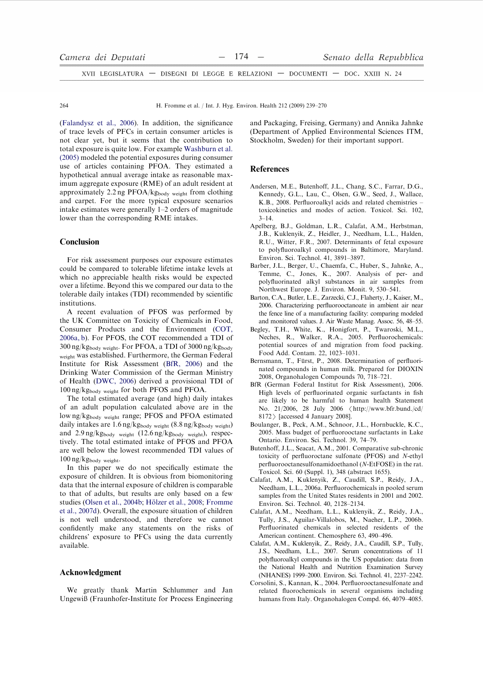H. Fromme et al. / Int. J. Hyg. Environ. Health 212 (2009) 239-270

(Falandysz et al., 2006). In addition, the significance of trace levels of PFCs in certain consumer articles is not clear yet, but it seems that the contribution to total exposure is quite low. For example Washburn et al. (2005) modeled the potential exposures during consumer use of articles containing PFOA. They estimated a hypothetical annual average intake as reasonable maximum aggregate exposure (RME) of an adult resident at approximately 2.2 ng PFOA/kgbody weight from clothing and carpet. For the more typical exposure scenarios intake estimates were generally 1-2 orders of magnitude lower than the corresponding RME intakes.

## Conclusion

For risk assessment purposes our exposure estimates could be compared to tolerable lifetime intake levels at which no appreciable health risks would be expected over a lifetime. Beyond this we compared our data to the tolerable daily intakes (TDI) recommended by scientific institutions.

A recent evaluation of PFOS was performed by the UK Committee on Toxicity of Chemicals in Food, Consumer Products and the Environment (COT, 2006a, b). For PFOS, the COT recommended a TDI of  $300\,\mathrm{ng}/\mathrm{kg}_\mathrm{body\;weight}.$  For PFOA, a TDI of  $3000\,\mathrm{ng}/\mathrm{kg}_\mathrm{body}$ weight was established. Furthermore, the German Federal Institute for Risk Assessment (BfR, 2006) and the Drinking Water Commission of the German Ministry of Health (DWC, 2006) derived a provisional TDI of  $100\,\mathrm{ng/kg_{body}}$   $_{\mathrm{weight}}$  for both PFOS and PFOA.

The total estimated average (and high) daily intakes of an adult population calculated above are in the lowng/kgbody weight range; PFOS and PFOA estimated daily intakes are  $1.6$  ng/kg<sub>body weight</sub>  $(8.8$  ng/kg<sub>body weight</sub>) and  $2.9 \text{ ng/kg}$ <sub>body weight</sub>  $(12.6 \text{ ng/kg}$ <sub>body weight</sub>), respectively. The total estimated intake of PFOS and PFOA are well below the lowest recommended TDI values of  $100$  ng/ $kg_{body}$  weight.

In this paper we do not specifically estimate the exposure of children. It is obvious from biomonitoring data that the internal exposure of children is comparable to that of adults, but results are only based on a few studies (Olsen et al., 2004b; Hölzer et al., 2008; Fromme et al., 2007d). Overall, the exposure situation of children is not well understood, and therefore we cannot confidently make any statements on the risks of childrens' exposure to PFCs using the data currently available.

# Acknowledgment

We greatly thank Martin Schlummer and Jan Ungewiß (Fraunhofer-Institute for Process Engineering and Packaging, Freising, Germany) and Annika Jahnke (Department of Applied Environmental Sciences ITM, Stockholm, Sweden) for their important support.

# **References**

- Andersen, M.E., Butenhoff, J.L., Chang, S.C., Farrar, D.G., Kennedy, G.L., Lau, C., Olsen, G.W., Seed, J., Wallace. K.B., 2008. Perfluoroalkyl acids and related chemistries toxicokinetics and modes of action. Toxicol. Sci. 102.  $3 - 14$ .
- Apelberg, B.J., Goldman, L.R., Calafat, A.M., Herbstman, J.B., Kuklenyik, Z., Heidler, J., Needham, L.L., Halden, R.U., Witter, F.R., 2007. Determinants of fetal exposure to polyfluoroalkyl compounds in Baltimore, Maryland. Environ. Sci. Technol. 41, 3891-3897.
- Barber, J.L., Berger, U., Chaemfa, C., Huber, S., Jahnke, A., Temme, C., Jones, K., 2007. Analysis of per- and polyfluorinated alkyl substances in air samples from Northwest Europe. J. Environ. Monit. 9, 530-541.
- Barton, C.A., Butler, L.E., Zarzecki, C.J., Flaherty, J., Kaiser, M., 2006. Characterizing perfluorooctanoate in ambient air near the fence line of a manufacturing facility: comparing modeled and monitored values. J. Air Waste Manag. Assoc. 56, 48-55.
- Begley, T.H., White, K., Honigfort, P., Twaroski, M.L., Neches, R., Walker, R.A., 2005. Perfluorochemicals: potential sources of and migration from food packing. Food Add. Contam. 22, 1023-1031.
- Bernsmann, T., Fürst, P., 2008. Determination of perfluorinated compounds in human milk. Prepared for DIOXIN 2008, Organohalogen Compounds 70, 718-721.
- BfR (German Federal Institut for Risk Assessment), 2006. High levels of perfluorinated organic surfactants in fish are likely to be harmful to human health Statement No. 21/2006, 28 July 2006 <http://www.bfr.bund./cd/  $8172$  [accessed 4 January 2008].
- Boulanger, B., Peck, A.M., Schnoor, J.L., Hornbuckle, K.C., 2005. Mass budget of perfluorooctane surfactants in Lake Ontario. Environ. Sci. Technol. 39, 74-79.
- Butenhoff, J.L., Seacat, A.M., 2001. Comparative sub-chronic toxicity of perfluoroctane sulfonate (PFOS) and N-ethyl perfluorooctanesulfonamidoethanol (N-EtFOSE) in the rat. Toxicol. Sci. 60 (Suppl. 1), 348 (abstract 1655).
- Calafat, A.M., Kuklenyik, Z., Caudill, S.P., Reidy, J.A., Needham, L.L., 2006a. Perfluorochemicals in pooled serum samples from the United States residents in 2001 and 2002. Environ. Sci. Technol. 40, 2128-2134.
- Calafat, A.M., Needham, L.L., Kuklenyik, Z., Reidy, J.A., Tully, J.S., Aguilar-Villalobos, M., Naeher, L.P., 2006b. Perfluorinated chemicals in selected residents of the American continent. Chemosphere 63, 490-496.
- Calafat, A.M., Kuklenyik, Z., Reidy, J.A., Caudill, S.P., Tully, J.S., Needham, L.L., 2007. Serum concentrations of 11 polyfluoroalkyl compounds in the US population: data from the National Health and Nutrition Examination Survey (NHANES) 1999-2000. Environ. Sci. Technol. 41, 2237-2242.
- Corsolini, S., Kannan, K., 2004. Perfluorooctanesulfonate and related fluorochemicals in several organisms including humans from Italy. Organohalogen Compd. 66, 4079-4085.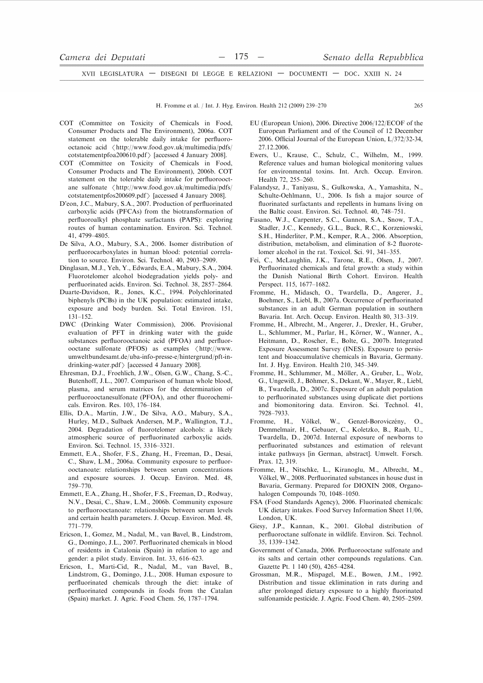H. Fromme et al. / Int. J. Hyg. Environ. Health 212 (2009) 239-270

- COT (Committee on Toxicity of Chemicals in Food, Consumer Products and The Environment), 2006a. COT statement on the tolerable daily intake for perfluorooctanoic acid <http://www.food.gov.uk/multimedia/pdfs/ cotstatementpfoa200610.pdf > [accessed 4 January 2008].
- COT (Committee on Toxicity of Chemicals in Food, Consumer Products and The Environment), 2006b. COT statement on the tolerable daily intake for perfluorooctane sulfonate <http://www.food.gov.uk/multimedia/pdfs/ cotstatementpfos200609.pdf > [accessed 4 January 2008].
- D'eon, J.C., Mabury, S.A., 2007. Production of perfluorinated carboxylic acids (PFCAs) from the biotransformation of perfluoroalkyl phosphate surfactants (PAPS): exploring routes of human contamination. Environ. Sci. Technol. 41, 4799-4805.
- De Silva, A.O., Mabury, S.A., 2006. Isomer distribution of perfluorocarboxylates in human blood: potential correlation to source. Environ. Sci. Technol. 40, 2903-2909.
- Dinglasan, M.J., Yeh, Y., Edwards, E.A., Mabury, S.A., 2004. Fluorotelomer alcohol biodegradation yields poly- and perfluorinated acids. Environ. Sci. Technol. 38, 2857-2864.
- Duarte-Davidson, R., Jones, K.C., 1994. Polychlorinated biphenyls (PCBs) in the UK population: estimated intake, exposure and body burden. Sci. Total Environ. 151,  $131 - 152$
- DWC (Drinking Water Commission), 2006. Provisional evaluation of PFT in drinking water with the guide substances perfluorooctanoic acid (PFOA) and perfluorooctane sulfonate (PFOS) as examples  $\langle$  http://www. umweltbundesamt.de/uba-info-presse-e/hintergrund/pft-indrinking-water.pdf  $\rangle$  [accessed 4 January 2008].
- Ehresman, D.J., Froehlich, J.W., Olsen, G.W., Chang, S.-C., Butenhoff, J.L., 2007. Comparison of human whole blood, plasma, and serum matrices for the determination of perfluorooctanesulfonate (PFOA), and other fluorochemicals. Environ. Res. 103, 176-184.
- Ellis, D.A., Martin, J.W., De Silva, A.O., Mabury, S.A., Hurley, M.D., Sulbaek Andersen, M.P., Wallington, T.J., 2004. Degradation of fluorotelomer alcohols: a likely atmospheric source of perfluorinated carboxylic acids. Environ. Sci. Technol. 15, 3316-3321.
- Emmett, E.A., Shofer, F.S., Zhang, H., Freeman, D., Desai, C., Shaw, L.M., 2006a. Community exposure to perfluorooctanoate: relationships between serum concentrations and exposure sources. J. Occup. Environ. Med. 48, 759-770
- Emmett, E.A., Zhang, H., Shofer, F.S., Freeman, D., Rodway, N.V., Desai, C., Shaw, L.M., 2006b. Community exposure to perfluorooctanoate: relationships between serum levels and certain health parameters. J. Occup. Environ. Med. 48,  $771 - 779$ .
- Ericson, I., Gomez, M., Nadal, M., van Bavel, B., Lindstrom, G., Domingo, J.L., 2007. Perfluorinated chemicals in blood of residents in Catalonia (Spain) in relation to age and gender: a pilot study. Environ. Int. 33, 616-623.
- Ericson, I., Marti-Cid, R., Nadal, M., van Bavel, B., Lindstrom, G., Domingo, J.L., 2008. Human exposure to perfluorinated chemicals through the diet: intake of perfluorinated compounds in foods from the Catalan (Spain) market. J. Agric. Food Chem. 56, 1787-1794.
- EU (European Union), 2006. Directive 2006/122/ECOF of the European Parliament and of the Council of 12 December 2006. Official Journal of the European Union, L/372/32-34. 27.12.2006.
- Ewers, U., Krause, C., Schulz, C., Wilhelm, M., 1999. Reference values and human biological monitoring values for environmental toxins. Int. Arch. Occup. Environ. Health 72, 255-260.
- Falandysz, J., Taniyasu, S., Gulkowska, A., Yamashita, N., Schulte-Oehlmann, U., 2006. Is fish a major source of fluorinated surfactants and repellents in humans living on the Baltic coast. Environ. Sci. Technol. 40, 748-751.
- Fasano, W.J., Carpenter, S.C., Gannon, S.A., Snow, T.A., Stadler, J.C., Kennedy, G.L., Buck, R.C., Korzeniowski, S.H., Hinderliter, P.M., Kemper, R.A., 2006. Absorption, distribution, metabolism, and elimination of 8-2 fluorotelomer alcohol in the rat. Toxicol. Sci. 91, 341-355.
- Fei, C., McLaughlin, J.K., Tarone, R.E., Olsen, J., 2007. Perfluorinated chemicals and fetal growth: a study within the Danish National Birth Cohort. Environ. Health Perspect. 115, 1677-1682.
- Fromme, H., Midasch, O., Twardella, D., Angerer, J., Boehmer, S., Liebl, B., 2007a. Occurrence of perfluorinated substances in an adult German population in southern Bavaria. Int. Arch. Occup. Environ. Health 80, 313-319.
- Fromme, H., Albrecht, M., Angerer, J., Drexler, H., Gruber, L., Schlummer, M., Parlar, H., Körner, W., Wanner, A., Heitmann, D., Roscher, E., Bolte, G., 2007b. Integrated Exposure Assessment Survey (INES). Exposure to persistent and bioaccumulative chemicals in Bavaria, Germany. Int. J. Hyg. Environ. Health 210, 345–349.
- Fromme, H., Schlummer, M., Möller, A., Gruber, L., Wolz, G., Ungewiß, J., Böhmer, S., Dekant, W., Mayer, R., Liebl, B., Twardella, D., 2007c. Exposure of an adult population to perfluorinated substances using duplicate diet portions and biomonitoring data. Environ. Sci. Technol. 41, 7928-7933.
- Fromme, H., Völkel, W., Genzel-Boroviczény, O., Demmelmair, H., Gebauer, C., Koletzko, B., Raab, U., Twardella, D., 2007d. Internal exposure of newborns to perfluorinated substances and estimation of relevant intake pathways [in German, abstract]. Umwelt. Forsch. Prax. 12, 319.
- Fromme, H., Nitschke, L., Kiranoglu, M., Albrecht, M., Völkel, W., 2008. Perfluorinated substances in house dust in Bavaria, Germany. Prepared for DIOXIN 2008, Organohalogen Compounds 70, 1048-1050.
- FSA (Food Standards Agency), 2006. Fluorinated chemicals: UK dietary intakes. Food Survey Information Sheet 11/06, London, UK.
- Giesy, J.P., Kannan, K., 2001. Global distribution of perfluoroctane sulfonate in wildlife. Environ. Sci. Technol. 35 1339-1342
- Government of Canada, 2006. Perfluorooctane sulfonate and its salts and certain other compounds regulations. Can. Gazette Pt. 1 140 (50), 4265-4284.
- Grossman, M.R., Mispagel, M.E., Bowen, J.M., 1992. Distribution and tissue eklimination in rats during and after prolonged dietary exposure to a highly fluorinated sulfonamide pesticide. J. Agric. Food Chem. 40, 2505-2509.